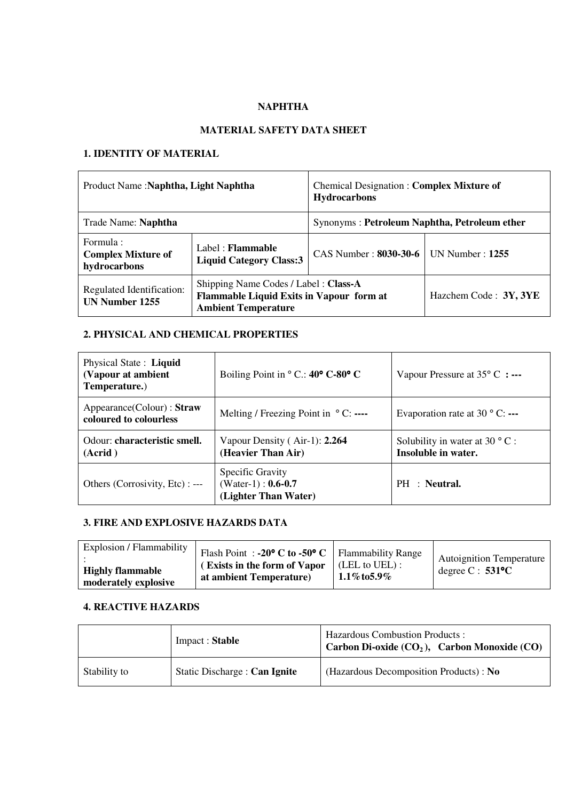## **NAPHTHA**

## **MATERIAL SAFETY DATA SHEET**

## **1. IDENTITY OF MATERIAL**

| Product Name: Naphtha, Light Naphtha                   |                                                                                                                | <b>Chemical Designation: Complex Mixture of</b><br><b>Hydrocarbons</b> |                       |
|--------------------------------------------------------|----------------------------------------------------------------------------------------------------------------|------------------------------------------------------------------------|-----------------------|
| Trade Name: Naphtha                                    |                                                                                                                | Synonyms: Petroleum Naphtha, Petroleum ether                           |                       |
| Formula :<br><b>Complex Mixture of</b><br>hydrocarbons | Label: Flammable<br><b>Liquid Category Class:3</b>                                                             | CAS Number: 8030-30-6                                                  | UN Number : $1255$    |
| Regulated Identification:<br>UN Number 1255            | Shipping Name Codes / Label: Class-A<br>Flammable Liquid Exits in Vapour form at<br><b>Ambient Temperature</b> |                                                                        | Hazchem Code: 3Y, 3YE |

# **2. PHYSICAL AND CHEMICAL PROPERTIES**

| Physical State: Liquid<br>(Vapour at ambient<br>Temperature.) | Boiling Point in $\degree$ C.: 40 $\degree$ C-80 $\degree$ C       | Vapour Pressure at $35^{\circ}$ C : ---                        |
|---------------------------------------------------------------|--------------------------------------------------------------------|----------------------------------------------------------------|
| Appearance(Colour) : Straw<br>coloured to colourless          | Melting / Freezing Point in $\degree$ C: ----                      | Evaporation rate at 30 $\degree$ C: ---                        |
| Odour: characteristic smell.<br>(Acrid)                       | Vapour Density (Air-1): 2.264<br>(Heavier Than Air)                | Solubility in water at 30 $\degree$ C :<br>Insoluble in water. |
| Others (Corrosivity, Etc) : ---                               | Specific Gravity<br>(Water-1): $0.6 - 0.7$<br>(Lighter Than Water) | PH : Neutral.                                                  |

## **3. FIRE AND EXPLOSIVE HAZARDS DATA**

| Explosion / Flammability<br><b>Highly flammable</b><br>moderately explosive | Flash Point: -20 $\degree$ C to -50 $\degree$ C   Flammability Range<br>(Exists in the form of Vapor)<br>at ambient Temperature) | $\mid$ (LEL to UEL) :<br>1.1% to 5.9% | <b>Autoignition Temperature</b><br>degree $C: 531^{\circ}C$ |
|-----------------------------------------------------------------------------|----------------------------------------------------------------------------------------------------------------------------------|---------------------------------------|-------------------------------------------------------------|
|-----------------------------------------------------------------------------|----------------------------------------------------------------------------------------------------------------------------------|---------------------------------------|-------------------------------------------------------------|

#### **4. REACTIVE HAZARDS**

|              | Impact: Stable                | <b>Hazardous Combustion Products:</b><br><sup><math>\dagger</math></sup> Carbon Di-oxide (CO <sub>2</sub> ), Carbon Monoxide (CO) |
|--------------|-------------------------------|-----------------------------------------------------------------------------------------------------------------------------------|
| Stability to | Static Discharge : Can Ignite | (Hazardous Decomposition Products): No                                                                                            |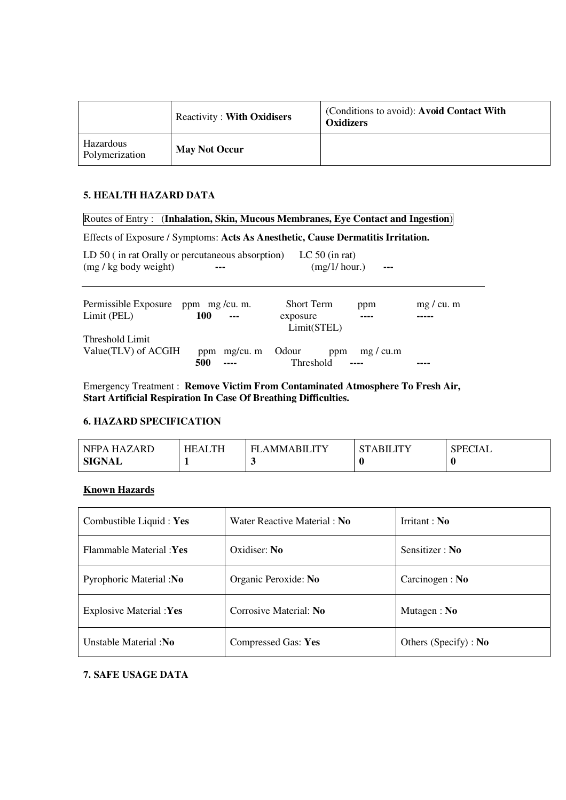|                             | <b>Reactivity: With Oxidisers</b> | (Conditions to avoid): Avoid Contact With<br><b>Oxidizers</b> |
|-----------------------------|-----------------------------------|---------------------------------------------------------------|
| Hazardous<br>Polymerization | <b>May Not Occur</b>              |                                                               |

## **5. HEALTH HAZARD DATA**

### Routes of Entry : (**Inhalation, Skin, Mucous Membranes, Eye Contact and Ingestion**)

Effects of Exposure / Symptoms: **Acts As Anesthetic, Cause Dermatitis Irritation.** 

| LD 50 (in rat Orally or percutaneous absorption)<br>$(mg/kg$ body weight) |                     | LC $50$ (in rat)<br>$(mg/1/\text{hour.})$    |         |            |
|---------------------------------------------------------------------------|---------------------|----------------------------------------------|---------|------------|
| Permissible Exposure ppm mg/cu.m.<br>Limit (PEL)                          | 100                 | <b>Short Term</b><br>exposure<br>Limit(STEL) | ppm     | mg / cu. m |
| Threshold Limit<br>Value(TLV) of ACGIH                                    | ppm mg/cu. m<br>500 | Odour<br>ppm<br>Threshold                    | mg/cu.m |            |

Emergency Treatment : **Remove Victim From Contaminated Atmosphere To Fresh Air, Start Artificial Respiration In Case Of Breathing Difficulties.** 

## **6. HAZARD SPECIFICATION**

| NFPA HAZARD | <b>HEALTH</b> | <b>AMMARILITY</b><br>FL | ABILITY | <b>SPECIAL</b> |
|-------------|---------------|-------------------------|---------|----------------|
| SIGNAL      |               |                         |         |                |

#### **Known Hazards**

| Combustible Liquid: Yes        | Water Reactive Material: No | Irritant: $No$        |
|--------------------------------|-----------------------------|-----------------------|
| Flammable Material : Yes       | Oxidiser: No.               | Sensitizer: No        |
| Pyrophoric Material :No        | Organic Peroxide: No        | Carcinogen: No        |
| <b>Explosive Material :Yes</b> | Corrosive Material: No      | Mutagen : $No$        |
| Unstable Material :No          | Compressed Gas: Yes         | Others (Specify) : No |

#### **7. SAFE USAGE DATA**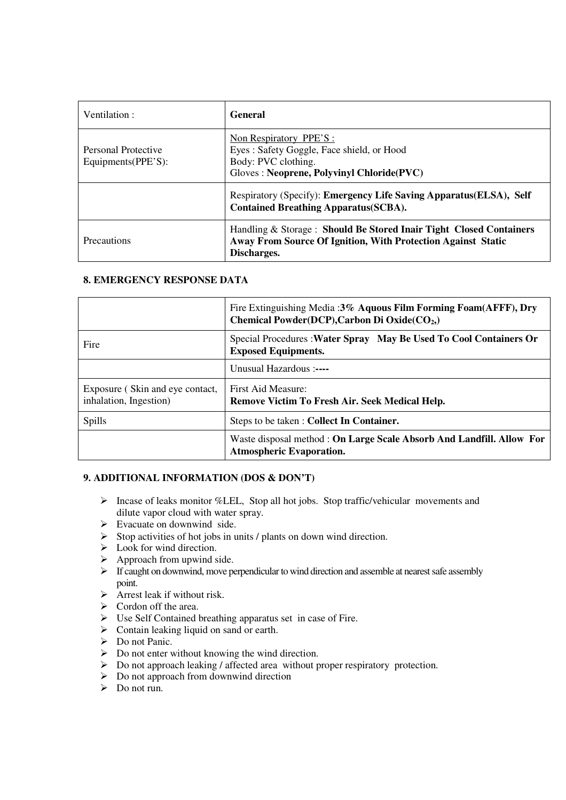| Ventilation:                              | General                                                                                                                                                  |
|-------------------------------------------|----------------------------------------------------------------------------------------------------------------------------------------------------------|
| Personal Protective<br>Equipments(PPE'S): | Non Respiratory PPE'S:<br>Eyes: Safety Goggle, Face shield, or Hood<br>Body: PVC clothing.<br>Gloves: Neoprene, Polyvinyl Chloride(PVC)                  |
|                                           | Respiratory (Specify): Emergency Life Saving Apparatus (ELSA), Self<br><b>Contained Breathing Apparatus (SCBA).</b>                                      |
| <b>Precautions</b>                        | Handling & Storage: Should Be Stored Inair Tight Closed Containers<br><b>Away From Source Of Ignition, With Protection Against Static</b><br>Discharges. |

### **8. EMERGENCY RESPONSE DATA**

|                                                           | Fire Extinguishing Media :3% Aquous Film Forming Foam(AFFF), Dry<br>Chemical Powder(DCP), Carbon Di Oxide(CO <sub>2</sub> ,) |
|-----------------------------------------------------------|------------------------------------------------------------------------------------------------------------------------------|
| Fire                                                      | Special Procedures : Water Spray May Be Used To Cool Containers Or<br><b>Exposed Equipments.</b>                             |
|                                                           | Unusual Hazardous :----                                                                                                      |
| Exposure (Skin and eye contact,<br>inhalation, Ingestion) | First Aid Measure:<br>Remove Victim To Fresh Air. Seek Medical Help.                                                         |
| Spills                                                    | Steps to be taken: Collect In Container.                                                                                     |
|                                                           | Waste disposal method: On Large Scale Absorb And Landfill. Allow For<br><b>Atmospheric Evaporation.</b>                      |

## **9. ADDITIONAL INFORMATION (DOS & DON'T)**

- $\triangleright$  Incase of leaks monitor %LEL, Stop all hot jobs. Stop traffic/vehicular movements and dilute vapor cloud with water spray.
- $\triangleright$  Evacuate on downwind side.
- $\triangleright$  Stop activities of hot jobs in units / plants on down wind direction.
- $\triangleright$  Look for wind direction.
- $\triangleright$  Approach from upwind side.
- $\triangleright$  If caught on downwind, move perpendicular to wind direction and assemble at nearest safe assembly point.
- $\triangleright$  Arrest leak if without risk.
- $\triangleright$  Cordon off the area.
- Use Self Contained breathing apparatus set in case of Fire.
- $\triangleright$  Contain leaking liquid on sand or earth.
- Do not Panic.
- $\triangleright$  Do not enter without knowing the wind direction.
- Do not approach leaking / affected area without proper respiratory protection.
- $\triangleright$  Do not approach from downwind direction
- $\triangleright$  Do not run.